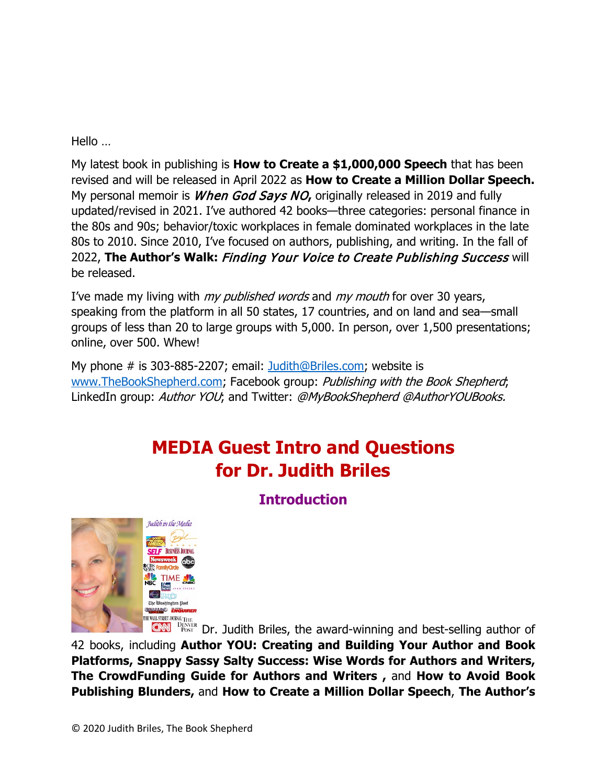Hello …

My latest book in publishing is **How to Create a \$1,000,000 Speech** that has been revised and will be released in April 2022 as **How to Create a Million Dollar Speech.** My personal memoir is When God Says NO**,** originally released in 2019 and fully updated/revised in 2021. I've authored 42 books—three categories: personal finance in the 80s and 90s; behavior/toxic workplaces in female dominated workplaces in the late 80s to 2010. Since 2010, I've focused on authors, publishing, and writing. In the fall of 2022, **The Author's Walk:** Finding Your Voice to Create Publishing Success will be released.

I've made my living with *my published words* and *my mouth* for over 30 years, speaking from the platform in all 50 states, 17 countries, and on land and sea—small groups of less than 20 to large groups with 5,000. In person, over 1,500 presentations; online, over 500. Whew!

My phone # is 303-885-2207; email: [Judith@Briles.com;](mailto:Judith@Briles.com) website is [www.TheBookShepherd.com;](http://www.thebookshepherd.com/) Facebook group: Publishing with the Book Shepherd; LinkedIn group: Author YOU; and Twitter: @MyBookShepherd @AuthorYOUBooks.

# **MEDIA Guest Intro and Questions for Dr. Judith Briles**

**Introduction** 



DREAD DRAW THE DENVER Dr. Judith Briles, the award-winning and best-selling author of

42 books, including **Author YOU: Creating and Building Your Author and Book Platforms, Snappy Sassy Salty Success: Wise Words for Authors and Writers, The CrowdFunding Guide for Authors and Writers ,** and **How to Avoid Book Publishing Blunders,** and **How to Create a Million Dollar Speech**, **The Author's**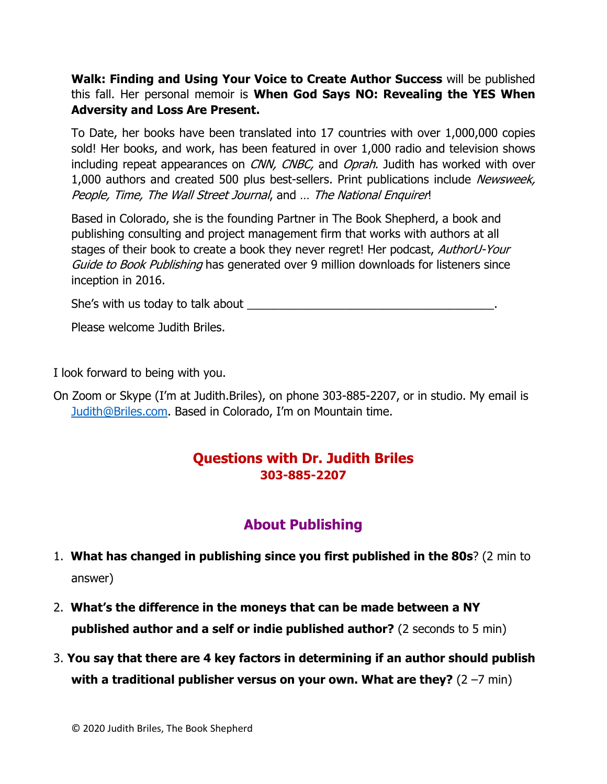**Walk: Finding and Using Your Voice to Create Author Success** will be published this fall. Her personal memoir is **When God Says NO: Revealing the YES When Adversity and Loss Are Present.**

To Date, her books have been translated into 17 countries with over 1,000,000 copies sold! Her books, and work, has been featured in over 1,000 radio and television shows including repeat appearances on *CNN, CNBC*, and *Oprah*. Judith has worked with over 1,000 authors and created 500 plus best-sellers. Print publications include Newsweek, People, Time, The Wall Street Journal, and ... The National Enquirer!

Based in Colorado, she is the founding Partner in The Book Shepherd, a book and publishing consulting and project management firm that works with authors at all stages of their book to create a book they never regret! Her podcast, AuthorU-Your Guide to Book Publishing has generated over 9 million downloads for listeners since inception in 2016.

She's with us today to talk about \_\_\_\_\_\_\_\_\_\_\_\_\_\_\_\_\_\_\_\_\_\_\_\_\_\_\_\_\_\_\_\_\_\_\_\_\_\_.

Please welcome Judith Briles.

I look forward to being with you.

On Zoom or Skype (I'm at Judith.Briles), on phone 303-885-2207, or in studio. My email is [Judith@Briles.com.](mailto:Judith@Briles.com) Based in Colorado, I'm on Mountain time.

#### **Questions with Dr. Judith Briles 303-885-2207**

### **About Publishing**

- 1. **What has changed in publishing since you first published in the 80s**? (2 min to answer)
- 2. **What's the difference in the moneys that can be made between a NY published author and a self or indie published author?** (2 seconds to 5 min)
- 3. **You say that there are 4 key factors in determining if an author should publish with a traditional publisher versus on your own. What are they?** (2 –7 min)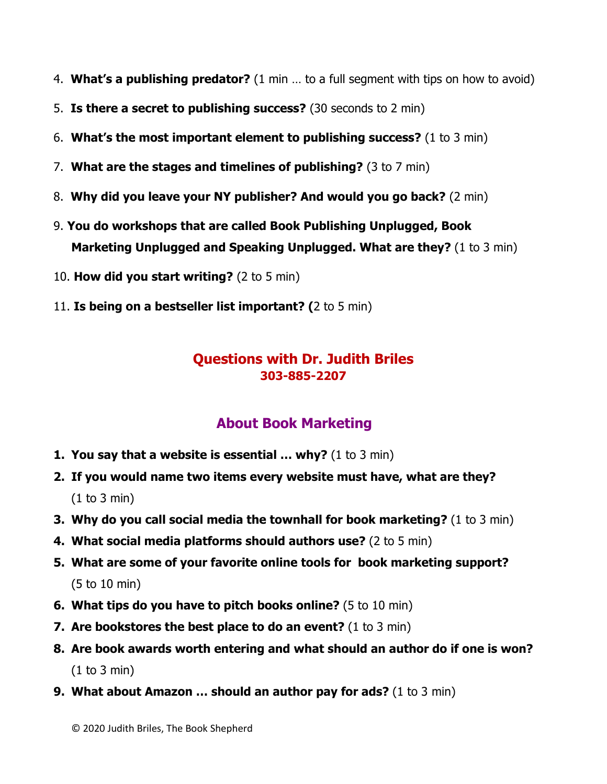- 4. **What's a publishing predator?** (1 min … to a full segment with tips on how to avoid)
- 5. **Is there a secret to publishing success?** (30 seconds to 2 min)
- 6. **What's the most important element to publishing success?** (1 to 3 min)
- 7. **What are the stages and timelines of publishing?** (3 to 7 min)
- 8. **Why did you leave your NY publisher? And would you go back?** (2 min)
- 9. **You do workshops that are called Book Publishing Unplugged, Book Marketing Unplugged and Speaking Unplugged. What are they?** (1 to 3 min)
- 10. **How did you start writing?** (2 to 5 min)
- 11. **Is being on a bestseller list important? (**2 to 5 min)

#### **Questions with Dr. Judith Briles 303-885-2207**

## **About Book Marketing**

- **1. You say that a website is essential ... why?** (1 to 3 min)
- **2. If you would name two items every website must have, what are they?** (1 to 3 min)
- **3. Why do you call social media the townhall for book marketing?** (1 to 3 min)
- **4. What social media platforms should authors use?** (2 to 5 min)
- **5. What are some of your favorite online tools for book marketing support?** (5 to 10 min)
- **6. What tips do you have to pitch books online?** (5 to 10 min)
- **7. Are bookstores the best place to do an event?** (1 to 3 min)
- **8. Are book awards worth entering and what should an author do if one is won?** (1 to 3 min)
- **9. What about Amazon … should an author pay for ads?** (1 to 3 min)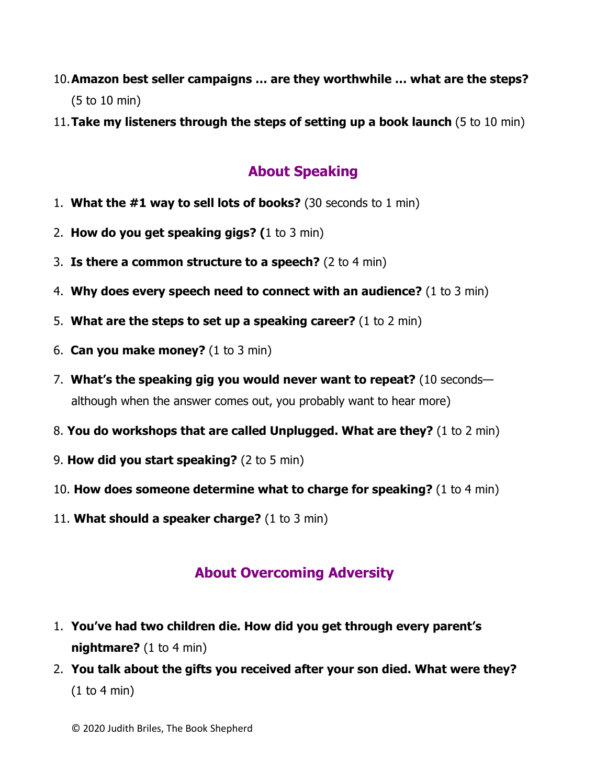- 10.**Amazon best seller campaigns … are they worthwhile … what are the steps?** (5 to 10 min)
- 11.**Take my listeners through the steps of setting up a book launch** (5 to 10 min)

## **About Speaking**

- 1. **What the #1 way to sell lots of books?** (30 seconds to 1 min)
- 2. **How do you get speaking gigs? (**1 to 3 min)
- 3. **Is there a common structure to a speech?** (2 to 4 min)
- 4. **Why does every speech need to connect with an audience?** (1 to 3 min)
- 5. **What are the steps to set up a speaking career?** (1 to 2 min)
- 6. **Can you make money?** (1 to 3 min)
- 7. **What's the speaking gig you would never want to repeat?** (10 seconds although when the answer comes out, you probably want to hear more)
- 8. **You do workshops that are called Unplugged. What are they?** (1 to 2 min)
- 9. **How did you start speaking?** (2 to 5 min)
- 10. **How does someone determine what to charge for speaking?** (1 to 4 min)
- 11. **What should a speaker charge?** (1 to 3 min)

## **About Overcoming Adversity**

- 1. **You've had two children die. How did you get through every parent's nightmare?** (1 to 4 min)
- 2. **You talk about the gifts you received after your son died. What were they?** (1 to 4 min)